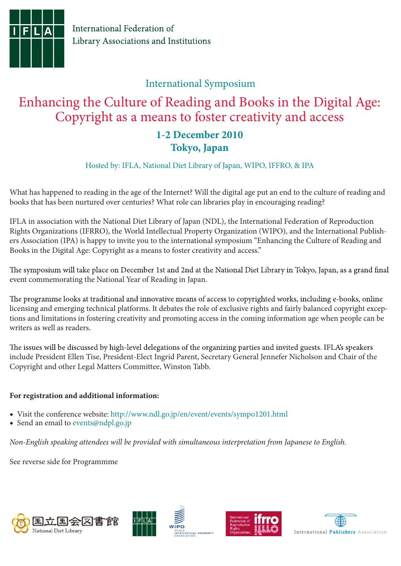

### International Symposium

# Enhancing the Culture of Reading and Books in the Digital Age: Copyright as a means to foster creativity and access **1-2 December 2010**

### **Tokyo, Japan**

Hosted by: IFLA, National Diet Library of Japan, WIPO, IFFRO, & IPA

What has happened to reading in the age of the Internet? Will the digital age put an end to the culture of reading and books that has been nurtured over centuries? What role can libraries play in encouraging reading?

IFLA in association with the National Diet Library of Japan (NDL), the International Federation of Reproduction Rights Organizations (IFRRO), the World Intellectual Property Organization (WIPO), and the International Publishers Association (IPA) is happy to invite you to the international symposium "Enhancing the Culture of Reading and Books in the Digital Age: Copyright as a means to foster creativity and access."

The symposium will take place on December 1st and 2nd at the National Diet Library in Tokyo, Japan, as a grand final event commemorating the National Year of Reading in Japan.

The programme looks at traditional and innovative means of access to copyrighted works, including e-books, online licensing and emerging technical platforms. It debates the role of exclusive rights and fairly balanced copyright exceptions and limitations in fostering creativity and promoting access in the coming information age when people can be writers as well as readers.

The issues will be discussed by high-level delegations of the organizing parties and invited guests. IFLA's speakers include President Ellen Tise, President-Elect Ingrid Parent, Secretary General Jennefer Nicholson and Chair of the Copyright and other Legal Matters Committee, Winston Tabb.

#### **For registration and additional information:**

- ◆ Visit the conference website: http://www.ndl.go.jp/en/event/events/sympo1201.html
- ◆ Send an email to events@ndpl.go.jp

*Non-English speaking attendees will be provided with simultaneous interpretation from Japanese to English.* 

See reverse side for Programmme